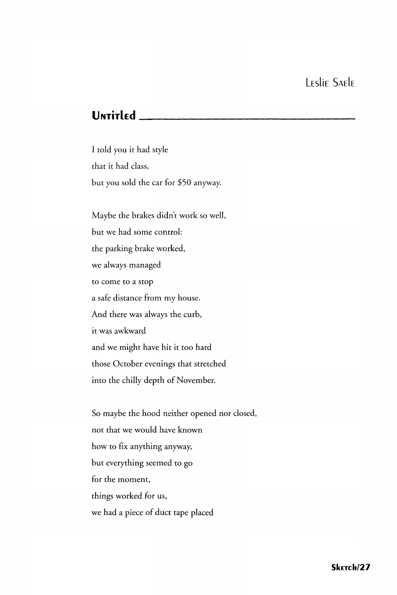## Untitled \_\_

I told you it had style that it had class, but you sold the car for \$50 anyway.

Maybe the brakes didn't work so well, but we had some control: the parking brake worked, we always managed to come to a stop a safe distance from my house. And there was always the curb, it was awkward and we might have hit it too hard those October evenings that stretched into the chilly depth of November.

So maybe the hood neither opened nor closed, not that we would have known how to fix anything anyway, but everything seemed to go for the moment, things worked for us, we had a piece of duct tape placed